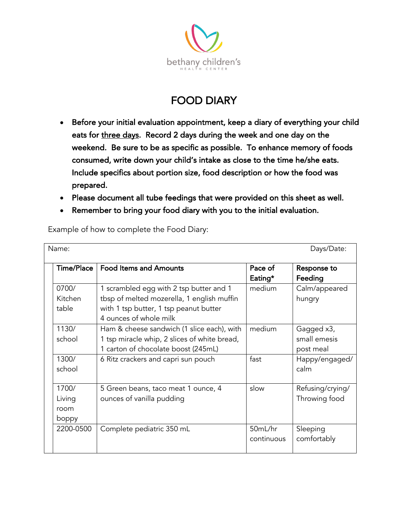

## FOOD DIARY

- Before your initial evaluation appointment, keep a diary of everything your child eats for three days. Record 2 days during the week and one day on the weekend. Be sure to be as specific as possible. To enhance memory of foods consumed, write down your child's intake as close to the time he/she eats. Include specifics about portion size, food description or how the food was prepared.
- Please document all tube feedings that were provided on this sheet as well.
- Remember to bring your food diary with you to the initial evaluation.

| Days/Date:<br>Name: |                                  |                                                                                                                                                           |                       |                                         |  |
|---------------------|----------------------------------|-----------------------------------------------------------------------------------------------------------------------------------------------------------|-----------------------|-----------------------------------------|--|
|                     | <b>Time/Place</b>                | <b>Food Items and Amounts</b>                                                                                                                             | Pace of<br>Eating*    | Response to<br>Feeding                  |  |
|                     | 0700/<br><b>Kitchen</b><br>table | 1 scrambled egg with 2 tsp butter and 1<br>tbsp of melted mozerella, 1 english muffin<br>with 1 tsp butter, 1 tsp peanut butter<br>4 ounces of whole milk | medium                | Calm/appeared<br>hungry                 |  |
|                     | 1130/<br>school                  | Ham & cheese sandwich (1 slice each), with<br>1 tsp miracle whip, 2 slices of white bread,<br>1 carton of chocolate boost (245mL)                         | medium                | Gagged x3,<br>small emesis<br>post meal |  |
|                     | 1300/<br>school                  | 6 Ritz crackers and capri sun pouch                                                                                                                       | fast                  | Happy/engaged/<br>calm                  |  |
|                     | 1700/<br>Living<br>room<br>boppy | 5 Green beans, taco meat 1 ounce, 4<br>ounces of vanilla pudding                                                                                          | slow                  | Refusing/crying/<br>Throwing food       |  |
|                     | 2200-0500                        | Complete pediatric 350 mL                                                                                                                                 | 50mL/hr<br>continuous | Sleeping<br>comfortably                 |  |

Example of how to complete the Food Diary: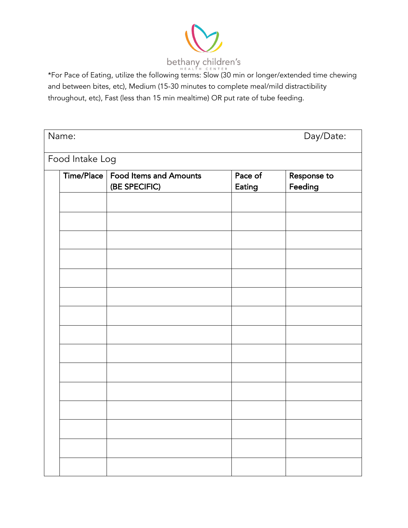

bethany children's<br>\*For Pace of Eating, utilize the following terms: Slow (30 min or longer/extended time chewing\* and between bites, etc), Medium (15-30 minutes to complete meal/mild distractibility throughout, etc), Fast (less than 15 min mealtime) OR put rate of tube feeding.

| Name:<br>Day/Date: |                                                      |                          |                        |  |
|--------------------|------------------------------------------------------|--------------------------|------------------------|--|
| Food Intake Log    |                                                      |                          |                        |  |
|                    | Time/Place   Food Items and Amounts<br>(BE SPECIFIC) | Pace of<br><b>Eating</b> | Response to<br>Feeding |  |
|                    |                                                      |                          |                        |  |
|                    |                                                      |                          |                        |  |
|                    |                                                      |                          |                        |  |
|                    |                                                      |                          |                        |  |
|                    |                                                      |                          |                        |  |
|                    |                                                      |                          |                        |  |
|                    |                                                      |                          |                        |  |
|                    |                                                      |                          |                        |  |
|                    |                                                      |                          |                        |  |
|                    |                                                      |                          |                        |  |
|                    |                                                      |                          |                        |  |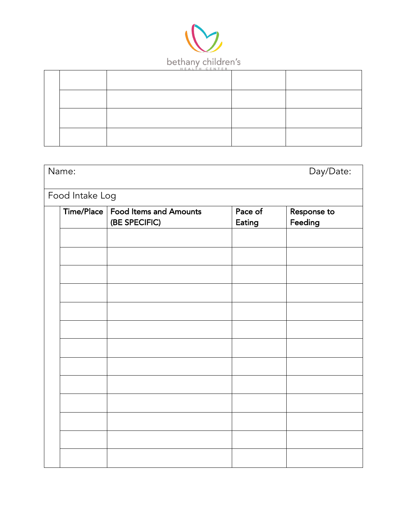

| Name:<br>Day/Date: |                                                      |                   |                        |  |
|--------------------|------------------------------------------------------|-------------------|------------------------|--|
| Food Intake Log    |                                                      |                   |                        |  |
|                    | Time/Place   Food Items and Amounts<br>(BE SPECIFIC) | Pace of<br>Eating | Response to<br>Feeding |  |
|                    |                                                      |                   |                        |  |
|                    |                                                      |                   |                        |  |
|                    |                                                      |                   |                        |  |
|                    |                                                      |                   |                        |  |
|                    |                                                      |                   |                        |  |
|                    |                                                      |                   |                        |  |
|                    |                                                      |                   |                        |  |
|                    |                                                      |                   |                        |  |
|                    |                                                      |                   |                        |  |
|                    |                                                      |                   |                        |  |
|                    |                                                      |                   |                        |  |
|                    |                                                      |                   |                        |  |
|                    |                                                      |                   |                        |  |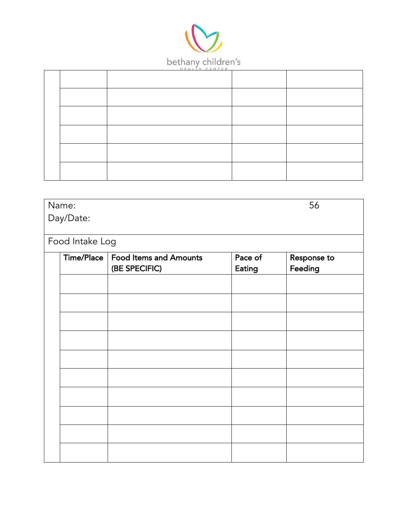

| 56<br>Name:     |                                     |         |             |  |  |
|-----------------|-------------------------------------|---------|-------------|--|--|
| Day/Date:       |                                     |         |             |  |  |
|                 |                                     |         |             |  |  |
| Food Intake Log |                                     |         |             |  |  |
|                 | Time/Place   Food Items and Amounts | Pace of | Response to |  |  |
|                 | (BE SPECIFIC)                       | Eating  | Feeding     |  |  |
|                 |                                     |         |             |  |  |
|                 |                                     |         |             |  |  |
|                 |                                     |         |             |  |  |
|                 |                                     |         |             |  |  |